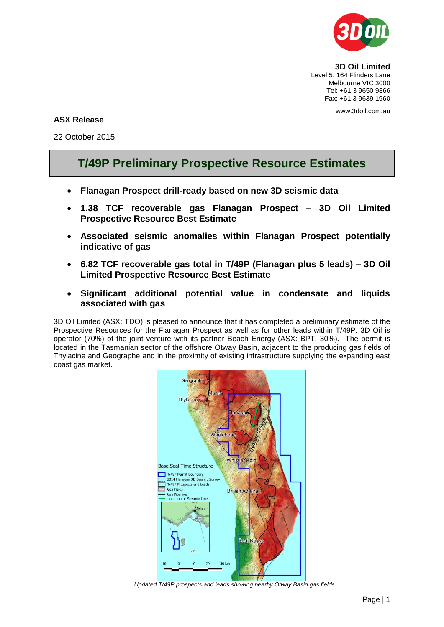

**3D Oil Limited** Level 5, 164 Flinders Lane Melbourne VIC 3000 Tel: +61 3 9650 9866 Fax: +61 3 9639 1960

www.3doil.com.au

# **ASX Release**

22 October 2015

# **T/49P Preliminary Prospective Resource Estimates**

- **Flanagan Prospect drill-ready based on new 3D seismic data**
- **1.38 TCF recoverable gas Flanagan Prospect – 3D Oil Limited Prospective Resource Best Estimate**
- **Associated seismic anomalies within Flanagan Prospect potentially indicative of gas**
- **6.82 TCF recoverable gas total in T/49P (Flanagan plus 5 leads) – 3D Oil Limited Prospective Resource Best Estimate**
- **Significant additional potential value in condensate and liquids associated with gas**

3D Oil Limited (ASX: TDO) is pleased to announce that it has completed a preliminary estimate of the Prospective Resources for the Flanagan Prospect as well as for other leads within T/49P. 3D Oil is operator (70%) of the joint venture with its partner Beach Energy (ASX: BPT, 30%). The permit is located in the Tasmanian sector of the offshore Otway Basin, adjacent to the producing gas fields of Thylacine and Geographe and in the proximity of existing infrastructure supplying the expanding east coast gas market.



*Updated T/49P prospects and leads showing nearby Otway Basin gas fields*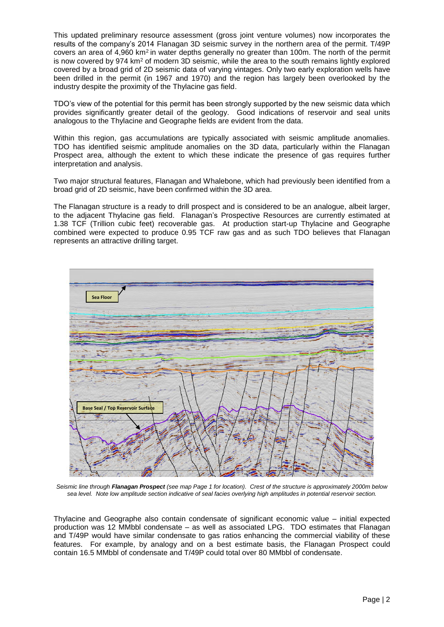This updated preliminary resource assessment (gross joint venture volumes) now incorporates the results of the company's 2014 Flanagan 3D seismic survey in the northern area of the permit. T/49P covers an area of 4,960 km<sup>2</sup>in water depths generally no greater than 100m. The north of the permit is now covered by 974 km<sup>2</sup> of modern 3D seismic, while the area to the south remains lightly explored covered by a broad grid of 2D seismic data of varying vintages. Only two early exploration wells have been drilled in the permit (in 1967 and 1970) and the region has largely been overlooked by the industry despite the proximity of the Thylacine gas field.

TDO's view of the potential for this permit has been strongly supported by the new seismic data which provides significantly greater detail of the geology. Good indications of reservoir and seal units analogous to the Thylacine and Geographe fields are evident from the data.

Within this region, gas accumulations are typically associated with seismic amplitude anomalies. TDO has identified seismic amplitude anomalies on the 3D data, particularly within the Flanagan Prospect area, although the extent to which these indicate the presence of gas requires further interpretation and analysis.

Two major structural features, Flanagan and Whalebone, which had previously been identified from a broad grid of 2D seismic, have been confirmed within the 3D area.

The Flanagan structure is a ready to drill prospect and is considered to be an analogue, albeit larger, to the adjacent Thylacine gas field. Flanagan's Prospective Resources are currently estimated at 1.38 TCF (Trillion cubic feet) recoverable gas. At production start-up Thylacine and Geographe combined were expected to produce 0.95 TCF raw gas and as such TDO believes that Flanagan represents an attractive drilling target.



*Seismic line through Flanagan Prospect (see map Page 1 for location). Crest of the structure is approximately 2000m below sea level. Note low amplitude section indicative of seal facies overlying high amplitudes in potential reservoir section.*

Thylacine and Geographe also contain condensate of significant economic value – initial expected production was 12 MMbbl condensate – as well as associated LPG. TDO estimates that Flanagan and T/49P would have similar condensate to gas ratios enhancing the commercial viability of these features. For example, by analogy and on a best estimate basis, the Flanagan Prospect could contain 16.5 MMbbl of condensate and T/49P could total over 80 MMbbl of condensate.